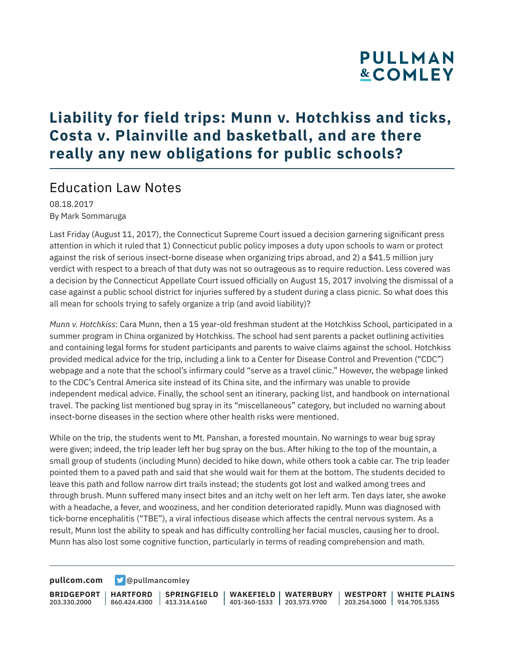### **Liability for field trips: Munn v. Hotchkiss and ticks, Costa v. Plainville and basketball, and are there really any new obligations for public schools?**

### Education Law Notes

08.18.2017 By Mark Sommaruga

Last Friday (August 11, 2017), the Connecticut Supreme Court issued a decision garnering significant press attention in which it ruled that 1) Connecticut public policy imposes a duty upon schools to warn or protect against the risk of serious insect-borne disease when organizing trips abroad, and 2) a \$41.5 million jury verdict with respect to a breach of that duty was not so outrageous as to require reduction. Less covered was a decision by the Connecticut Appellate Court issued officially on August 15, 2017 involving the dismissal of a case against a public school district for injuries suffered by a student during a class picnic. So what does this all mean for schools trying to safely organize a trip (and avoid liability)?

*Munn v. Hotchkiss*: Cara Munn, then a 15 year-old freshman student at the Hotchkiss School, participated in a summer program in China organized by Hotchkiss. The school had sent parents a packet outlining activities and containing legal forms for student participants and parents to waive claims against the school. Hotchkiss provided medical advice for the trip, including a link to a Center for Disease Control and Prevention ("CDC") webpage and a note that the school's infirmary could "serve as a travel clinic." However, the webpage linked to the CDC's Central America site instead of its China site, and the infirmary was unable to provide independent medical advice. Finally, the school sent an itinerary, packing list, and handbook on international travel. The packing list mentioned bug spray in its "miscellaneous" category, but included no warning about insect-borne diseases in the section where other health risks were mentioned.

While on the trip, the students went to Mt. Panshan, a forested mountain. No warnings to wear bug spray were given; indeed, the trip leader left her bug spray on the bus. After hiking to the top of the mountain, a small group of students (including Munn) decided to hike down, while others took a cable car. The trip leader pointed them to a paved path and said that she would wait for them at the bottom. The students decided to leave this path and follow narrow dirt trails instead; the students got lost and walked among trees and through brush. Munn suffered many insect bites and an itchy welt on her left arm. Ten days later, she awoke with a headache, a fever, and wooziness, and her condition deteriorated rapidly. Munn was diagnosed with tick-borne encephalitis ("TBE"), a viral infectious disease which affects the central nervous system. As a result, Munn lost the ability to speak and has difficulty controlling her facial muscles, causing her to drool. Munn has also lost some cognitive function, particularly in terms of reading comprehension and math.

**[pullcom.com](https://www.pullcom.com) g** [@pullmancomley](https://twitter.com/PullmanComley)

**BRIDGEPORT HARTFORD** 203.330.2000

860.424.4300 413.314.6160 **SPRINGFIELD** **WAKEFIELD WATERBURY** 401-360-1533 203.573.9700

**WESTPORT WHITE PLAINS** 203.254.5000 914.705.5355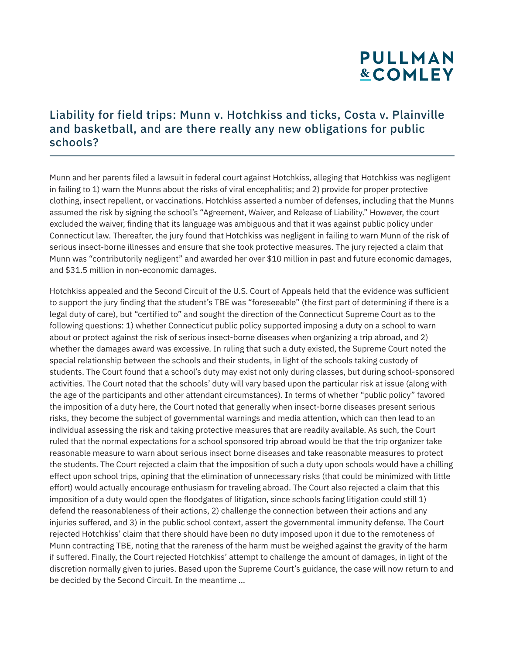#### Liability for field trips: Munn v. Hotchkiss and ticks, Costa v. Plainville and basketball, and are there really any new obligations for public schools?

Munn and her parents filed a lawsuit in federal court against Hotchkiss, alleging that Hotchkiss was negligent in failing to 1) warn the Munns about the risks of viral encephalitis; and 2) provide for proper protective clothing, insect repellent, or vaccinations. Hotchkiss asserted a number of defenses, including that the Munns assumed the risk by signing the school's "Agreement, Waiver, and Release of Liability." However, the court excluded the waiver, finding that its language was ambiguous and that it was against public policy under Connecticut law. Thereafter, the jury found that Hotchkiss was negligent in failing to warn Munn of the risk of serious insect-borne illnesses and ensure that she took protective measures. The jury rejected a claim that Munn was "contributorily negligent" and awarded her over \$10 million in past and future economic damages, and \$31.5 million in non-economic damages.

Hotchkiss appealed and the Second Circuit of the U.S. Court of Appeals held that the evidence was sufficient to support the jury finding that the student's TBE was "foreseeable" (the first part of determining if there is a legal duty of care), but "certified to" and sought the direction of the Connecticut Supreme Court as to the following questions: 1) whether Connecticut public policy supported imposing a duty on a school to warn about or protect against the risk of serious insect-borne diseases when organizing a trip abroad, and 2) whether the damages award was excessive. In ruling that such a duty existed, the Supreme Court noted the special relationship between the schools and their students, in light of the schools taking custody of students. The Court found that a school's duty may exist not only during classes, but during school-sponsored activities. The Court noted that the schools' duty will vary based upon the particular risk at issue (along with the age of the participants and other attendant circumstances). In terms of whether "public policy" favored the imposition of a duty here, the Court noted that generally when insect-borne diseases present serious risks, they become the subject of governmental warnings and media attention, which can then lead to an individual assessing the risk and taking protective measures that are readily available. As such, the Court ruled that the normal expectations for a school sponsored trip abroad would be that the trip organizer take reasonable measure to warn about serious insect borne diseases and take reasonable measures to protect the students. The Court rejected a claim that the imposition of such a duty upon schools would have a chilling effect upon school trips, opining that the elimination of unnecessary risks (that could be minimized with little effort) would actually encourage enthusiasm for traveling abroad. The Court also rejected a claim that this imposition of a duty would open the floodgates of litigation, since schools facing litigation could still 1) defend the reasonableness of their actions, 2) challenge the connection between their actions and any injuries suffered, and 3) in the public school context, assert the governmental immunity defense. The Court rejected Hotchkiss' claim that there should have been no duty imposed upon it due to the remoteness of Munn contracting TBE, noting that the rareness of the harm must be weighed against the gravity of the harm if suffered. Finally, the Court rejected Hotchkiss' attempt to challenge the amount of damages, in light of the discretion normally given to juries. Based upon the Supreme Court's guidance, the case will now return to and be decided by the Second Circuit. In the meantime …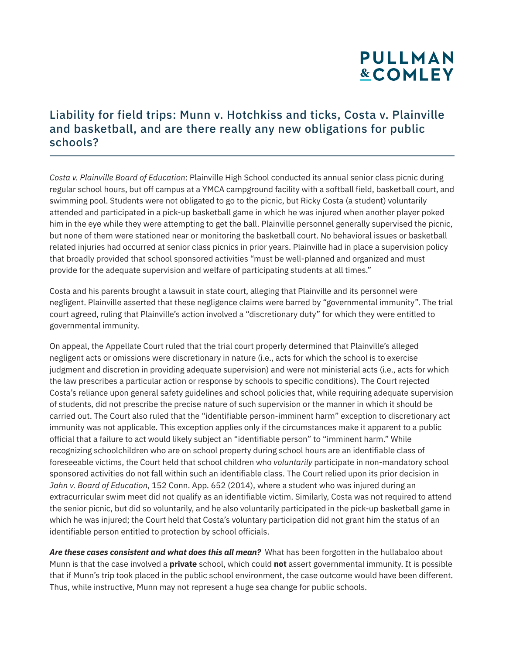#### Liability for field trips: Munn v. Hotchkiss and ticks, Costa v. Plainville and basketball, and are there really any new obligations for public schools?

*Costa v. Plainville Board of Education*: Plainville High School conducted its annual senior class picnic during regular school hours, but off campus at a YMCA campground facility with a softball field, basketball court, and swimming pool. Students were not obligated to go to the picnic, but Ricky Costa (a student) voluntarily attended and participated in a pick-up basketball game in which he was injured when another player poked him in the eye while they were attempting to get the ball. Plainville personnel generally supervised the picnic, but none of them were stationed near or monitoring the basketball court. No behavioral issues or basketball related injuries had occurred at senior class picnics in prior years. Plainville had in place a supervision policy that broadly provided that school sponsored activities "must be well-planned and organized and must provide for the adequate supervision and welfare of participating students at all times."

Costa and his parents brought a lawsuit in state court, alleging that Plainville and its personnel were negligent. Plainville asserted that these negligence claims were barred by "governmental immunity". The trial court agreed, ruling that Plainville's action involved a "discretionary duty" for which they were entitled to governmental immunity.

On appeal, the Appellate Court ruled that the trial court properly determined that Plainville's alleged negligent acts or omissions were discretionary in nature (i.e., acts for which the school is to exercise judgment and discretion in providing adequate supervision) and were not ministerial acts (i.e., acts for which the law prescribes a particular action or response by schools to specific conditions). The Court rejected Costa's reliance upon general safety guidelines and school policies that, while requiring adequate supervision of students, did not prescribe the precise nature of such supervision or the manner in which it should be carried out. The Court also ruled that the "identifiable person-imminent harm" exception to discretionary act immunity was not applicable. This exception applies only if the circumstances make it apparent to a public official that a failure to act would likely subject an "identifiable person" to "imminent harm." While recognizing schoolchildren who are on school property during school hours are an identifiable class of foreseeable victims, the Court held that school children who *voluntarily* participate in non-mandatory school sponsored activities do not fall within such an identifiable class. The Court relied upon its prior decision in *Jahn v. Board of Education*, 152 Conn. App. 652 (2014), where a student who was injured during an extracurricular swim meet did not qualify as an identifiable victim. Similarly, Costa was not required to attend the senior picnic, but did so voluntarily, and he also voluntarily participated in the pick-up basketball game in which he was injured; the Court held that Costa's voluntary participation did not grant him the status of an identifiable person entitled to protection by school officials.

*Are these cases consistent and what does this all mean?* What has been forgotten in the hullabaloo about Munn is that the case involved a **private** school, which could **not** assert governmental immunity. It is possible that if Munn's trip took placed in the public school environment, the case outcome would have been different. Thus, while instructive, Munn may not represent a huge sea change for public schools.